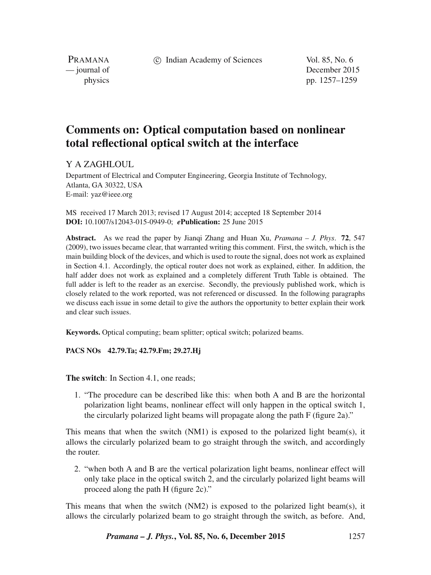c Indian Academy of Sciences Vol. 85, No. 6

PRAMANA<br>
— journal of

December 2015 physics pp. 1257–1259

## **Comments on: Optical computation based on nonlinear total reflectional optical switch at the interface**

Y A ZAGHLOUL

Department of Electrical and Computer Engineering, Georgia Institute of Technology, Atlanta, GA 30322, USA E-mail: yaz@ieee.org

MS received 17 March 2013; revised 17 August 2014; accepted 18 September 2014 **DOI:** 10.1007/s12043-015-0949-0; *e***Publication:** 25 June 2015

**Abstract.** As we read the paper by Jianqi Zhang and Huan Xu, *Pramana – J. Phys*. **72**, 547 (2009), two issues became clear, that warranted writing this comment. First, the switch, which is the main building block of the devices, and which is used to route the signal, does not work as explained in Section 4.1. Accordingly, the optical router does not work as explained, either. In addition, the half adder does not work as explained and a completely different Truth Table is obtained. The full adder is left to the reader as an exercise. Secondly, the previously published work, which is closely related to the work reported, was not referenced or discussed. In the following paragraphs we discuss each issue in some detail to give the authors the opportunity to better explain their work and clear such issues.

**Keywords.** Optical computing; beam splitter; optical switch; polarized beams.

**PACS NOs 42.79.Ta; 42.79.Fm; 29.27.Hj**

**The switch:** In Section 4.1, one reads:

1. "The procedure can be described like this: when both A and B are the horizontal polarization light beams, nonlinear effect will only happen in the optical switch 1, the circularly polarized light beams will propagate along the path F (figure 2a)."

This means that when the switch (NM1) is exposed to the polarized light beam(s), it allows the circularly polarized beam to go straight through the switch, and accordingly the router.

2. "when both A and B are the vertical polarization light beams, nonlinear effect will only take place in the optical switch 2, and the circularly polarized light beams will proceed along the path H (figure 2c)."

This means that when the switch (NM2) is exposed to the polarized light beam(s), it allows the circularly polarized beam to go straight through the switch, as before. And,

*Pramana – J. Phys.***, Vol. 85, No. 6, December 2015** 1257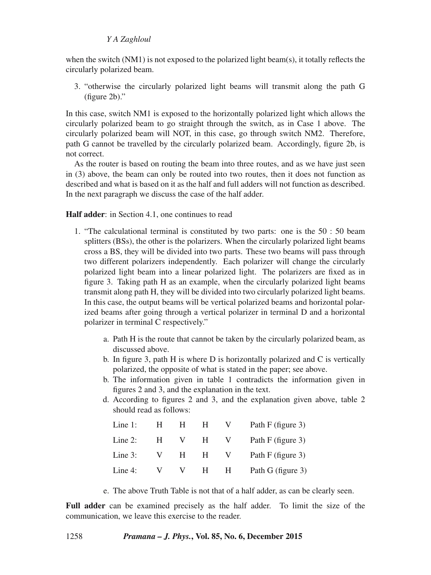## *Y A Zaghloul*

when the switch (NM1) is not exposed to the polarized light beam(s), it totally reflects the circularly polarized beam.

3. "otherwise the circularly polarized light beams will transmit along the path G (figure 2b)."

In this case, switch NM1 is exposed to the horizontally polarized light which allows the circularly polarized beam to go straight through the switch, as in Case 1 above. The circularly polarized beam will NOT, in this case, go through switch NM2. Therefore, path G cannot be travelled by the circularly polarized beam. Accordingly, figure 2b, is not correct.

As the router is based on routing the beam into three routes, and as we have just seen in (3) above, the beam can only be routed into two routes, then it does not function as described and what is based on it as the half and full adders will not function as described. In the next paragraph we discuss the case of the half adder.

## **Half adder**: in Section 4.1, one continues to read

- 1. "The calculational terminal is constituted by two parts: one is the 50 : 50 beam splitters (BSs), the other is the polarizers. When the circularly polarized light beams cross a BS, they will be divided into two parts. These two beams will pass through two different polarizers independently. Each polarizer will change the circularly polarized light beam into a linear polarized light. The polarizers are fixed as in figure 3. Taking path H as an example, when the circularly polarized light beams transmit along path H, they will be divided into two circularly polarized light beams. In this case, the output beams will be vertical polarized beams and horizontal polarized beams after going through a vertical polarizer in terminal D and a horizontal polarizer in terminal C respectively."
	- a. Path H is the route that cannot be taken by the circularly polarized beam, as discussed above.
	- b. In figure 3, path H is where D is horizontally polarized and C is vertically polarized, the opposite of what is stated in the paper; see above.
	- b. The information given in table 1 contradicts the information given in figures 2 and 3, and the explanation in the text.
	- d. According to figures 2 and 3, and the explanation given above, table 2 should read as follows:

| Line $1$ : | H.  | н.           | <b>H</b> | V.           | Path F (figure 3) |
|------------|-----|--------------|----------|--------------|-------------------|
| Line $2$ : | H . | $\mathbf{V}$ | H        | V            | Path F (figure 3) |
| Line $3$ : |     | $V$ H        | H        | $\mathbf{V}$ | Path F (figure 3) |
| Line 4:    |     |              | V V H H  |              | Path G (figure 3) |

e. The above Truth Table is not that of a half adder, as can be clearly seen.

**Full adder** can be examined precisely as the half adder. To limit the size of the communication, we leave this exercise to the reader.